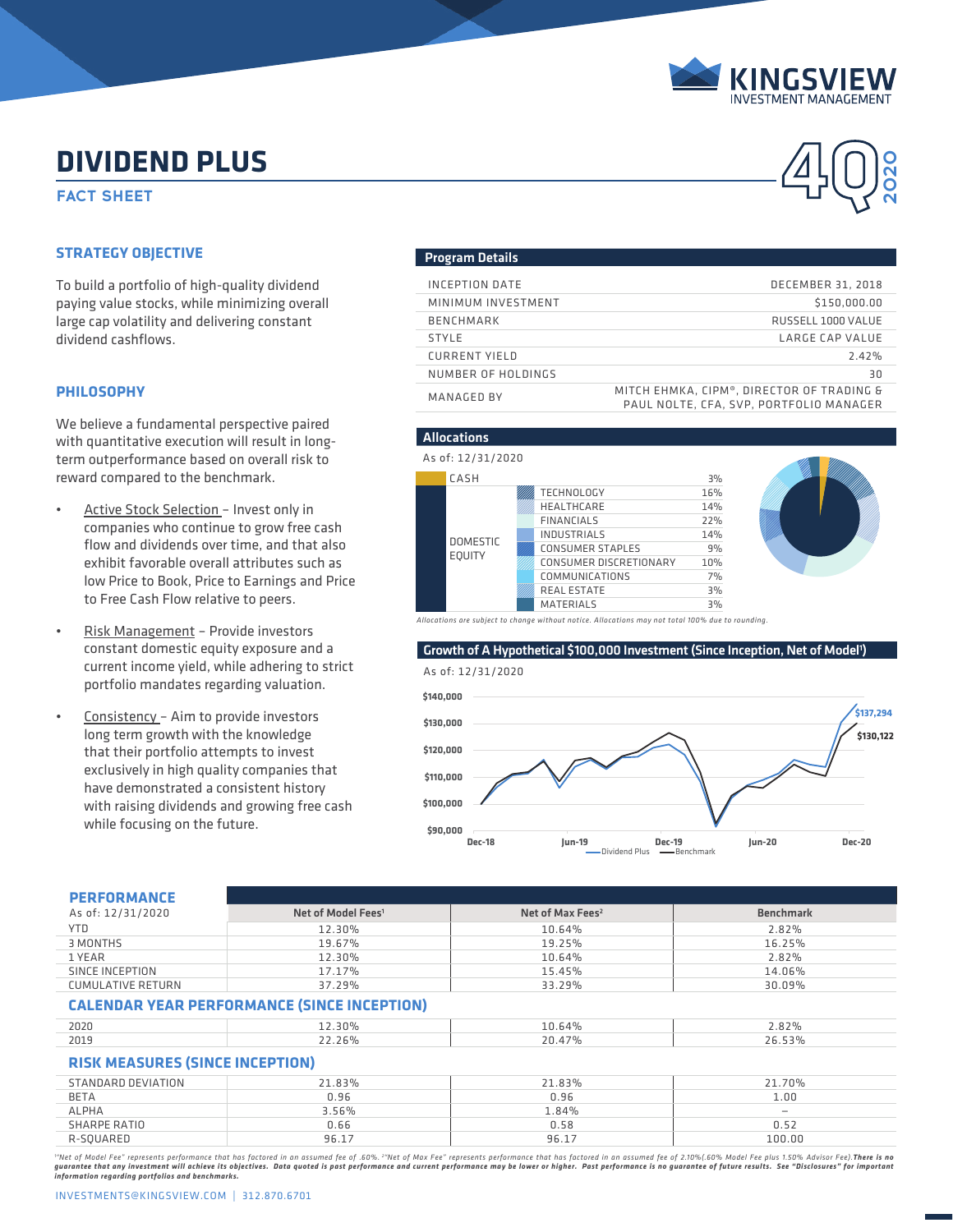

**2020**

# **DIVIDEND PLUS**<br>FACT SHEET **A DIVIDEND PLUS**

# **STRATEGY OBJECTIVE**

To build a portfolio of high-quality dividend paying value stocks, while minimizing overall large cap volatility and delivering constant dividend cashflows.

## **PHILOSOPHY**

We believe a fundamental perspective paired with quantitative execution will result in longterm outperformance based on overall risk to reward compared to the benchmark.

- Active Stock Selection Invest only in companies who continue to grow free cash flow and dividends over time, and that also exhibit favorable overall attributes such as low Price to Book, Price to Earnings and Price to Free Cash Flow relative to peers.
- Risk Management Provide investors constant domestic equity exposure and a current income yield, while adhering to strict portfolio mandates regarding valuation.
- Consistency Aim to provide investors long term growth with the knowledge that their portfolio attempts to invest exclusively in high quality companies that have demonstrated a consistent history with raising dividends and growing free cash while focusing on the future.

## Program Details

| INCEPTION DATE       | <b>DECEMBER 31, 2018</b>                                                             |
|----------------------|--------------------------------------------------------------------------------------|
| MINIMUM INVESTMENT   | \$150,000.00                                                                         |
| <b>BENCHMARK</b>     | RUSSELL 1000 VALUE                                                                   |
| <b>STYLE</b>         | LARGE CAP VALUE                                                                      |
| <b>CURRENT YIELD</b> | 7.47%                                                                                |
| NUMBER OF HOLDINGS   | 30                                                                                   |
| MANAGED BY           | MITCH EHMKA, CIPM®, DIRECTOR OF TRADING &<br>PAUL NOLTE, CFA, SVP, PORTFOLIO MANAGER |



Growth of A Hypothetical \$100,000 Investment (Since Inception, Net of Model<sup>1</sup>)

As of: 12/31/2020



| <b>PERFORMANCE</b>                                 |                                |                              |                          |  |
|----------------------------------------------------|--------------------------------|------------------------------|--------------------------|--|
| As of: 12/31/2020                                  | Net of Model Fees <sup>1</sup> | Net of Max Fees <sup>2</sup> | <b>Benchmark</b>         |  |
| <b>YTD</b>                                         | 12.30%                         | 10.64%                       | 2.82%                    |  |
| 3 MONTHS                                           | 19.67%                         | 19.25%                       | 16.25%                   |  |
| 1 YEAR                                             | 12.30%                         | 10.64%                       | 2.82%                    |  |
| SINCE INCEPTION                                    | 17.17%                         | 15.45%                       | 14.06%                   |  |
| <b>CUMULATIVE RETURN</b>                           | 37.29%                         | 33.29%                       | 30.09%                   |  |
| <b>CALENDAR YEAR PERFORMANCE (SINCE INCEPTION)</b> |                                |                              |                          |  |
| 2020                                               | 12.30%                         | 10.64%                       | 2.82%                    |  |
| 2019                                               | 22.26%                         | 20.47%                       | 26.53%                   |  |
| <b>RISK MEASURES (SINCE INCEPTION)</b>             |                                |                              |                          |  |
| STANDARD DEVIATION                                 | 21.83%                         | 21.83%                       | 21.70%                   |  |
| <b>BETA</b>                                        | 0.96                           | 0.96                         | 1.00                     |  |
| <b>ALPHA</b>                                       | 3.56%                          | 1.84%                        | $\overline{\phantom{m}}$ |  |
| <b>SHARPE RATIO</b>                                | 0.66                           | 0.58                         | 0.52                     |  |
| R-SQUARED                                          | 96.17                          | 96.17                        | 100.00                   |  |

"Net of Model Fee" represents performance that has factored in an assumed fee of .60%. "Net of Max Fee" represents performance that has factored in an assumed fee of 2.10%(.60% Model Fee plus 1.50% Advisor Fee).**There is n**